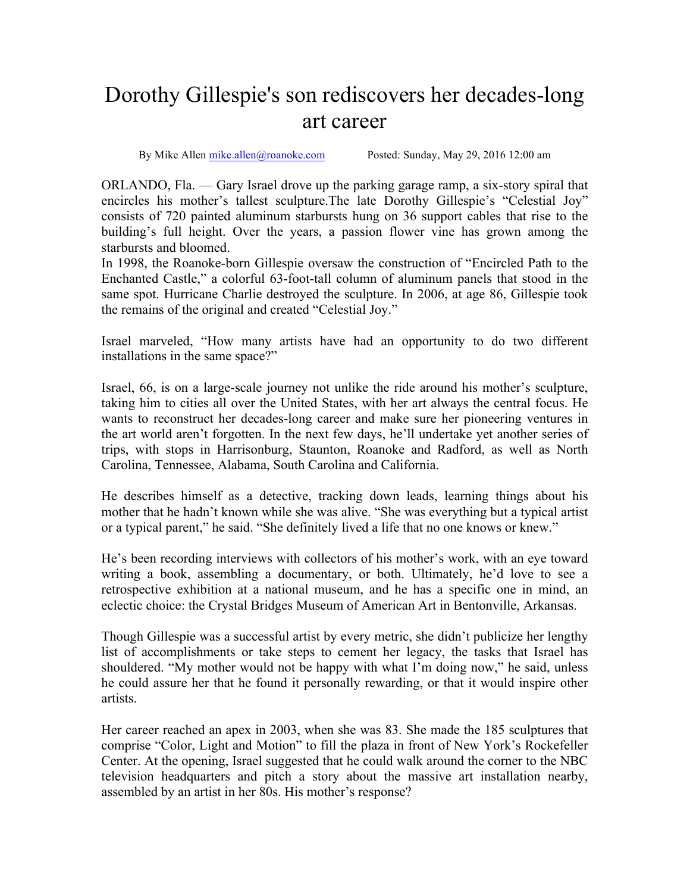## Dorothy Gillespie's son rediscovers her decades-long art career

By Mike Allen mike.allen@roanoke.com Posted: Sunday, May 29, 2016 12:00 am

ORLANDO, Fla. — Gary Israel drove up the parking garage ramp, a six-story spiral that encircles his mother's tallest sculpture.The late Dorothy Gillespie's "Celestial Joy" consists of 720 painted aluminum starbursts hung on 36 support cables that rise to the building's full height. Over the years, a passion flower vine has grown among the starbursts and bloomed.

In 1998, the Roanoke-born Gillespie oversaw the construction of "Encircled Path to the Enchanted Castle," a colorful 63-foot-tall column of aluminum panels that stood in the same spot. Hurricane Charlie destroyed the sculpture. In 2006, at age 86, Gillespie took the remains of the original and created "Celestial Joy."

Israel marveled, "How many artists have had an opportunity to do two different installations in the same space?"

Israel, 66, is on a large-scale journey not unlike the ride around his mother's sculpture, taking him to cities all over the United States, with her art always the central focus. He wants to reconstruct her decades-long career and make sure her pioneering ventures in the art world aren't forgotten. In the next few days, he'll undertake yet another series of trips, with stops in Harrisonburg, Staunton, Roanoke and Radford, as well as North Carolina, Tennessee, Alabama, South Carolina and California.

He describes himself as a detective, tracking down leads, learning things about his mother that he hadn't known while she was alive. "She was everything but a typical artist or a typical parent," he said. "She definitely lived a life that no one knows or knew."

He's been recording interviews with collectors of his mother's work, with an eye toward writing a book, assembling a documentary, or both. Ultimately, he'd love to see a retrospective exhibition at a national museum, and he has a specific one in mind, an eclectic choice: the Crystal Bridges Museum of American Art in Bentonville, Arkansas.

Though Gillespie was a successful artist by every metric, she didn't publicize her lengthy list of accomplishments or take steps to cement her legacy, the tasks that Israel has shouldered. "My mother would not be happy with what I'm doing now," he said, unless he could assure her that he found it personally rewarding, or that it would inspire other artists.

Her career reached an apex in 2003, when she was 83. She made the 185 sculptures that comprise "Color, Light and Motion" to fill the plaza in front of New York's Rockefeller Center. At the opening, Israel suggested that he could walk around the corner to the NBC television headquarters and pitch a story about the massive art installation nearby, assembled by an artist in her 80s. His mother's response?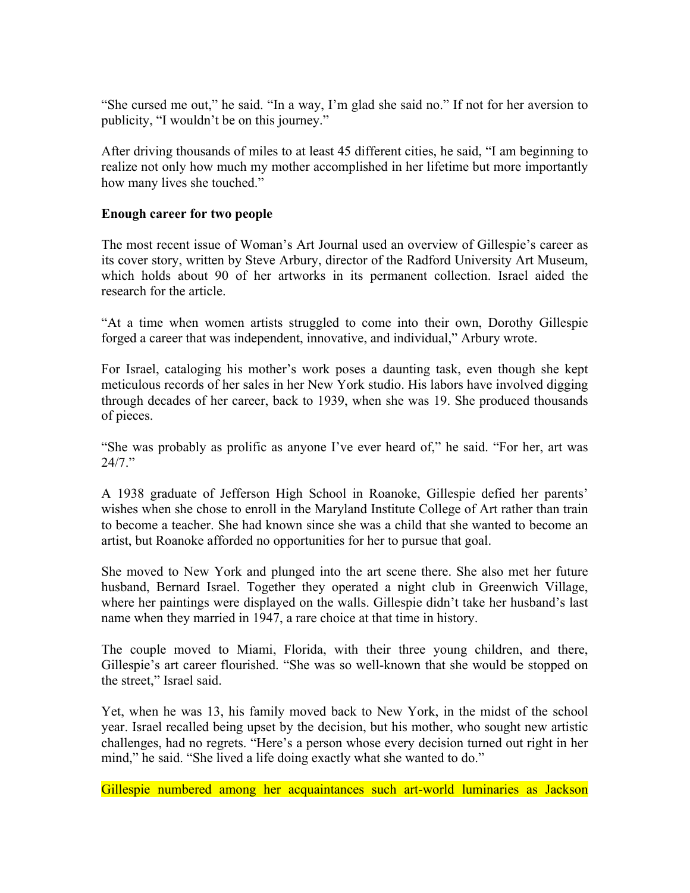"She cursed me out," he said. "In a way, I'm glad she said no." If not for her aversion to publicity, "I wouldn't be on this journey."

After driving thousands of miles to at least 45 different cities, he said, "I am beginning to realize not only how much my mother accomplished in her lifetime but more importantly how many lives she touched."

## **Enough career for two people**

The most recent issue of Woman's Art Journal used an overview of Gillespie's career as its cover story, written by Steve Arbury, director of the Radford University Art Museum, which holds about 90 of her artworks in its permanent collection. Israel aided the research for the article.

"At a time when women artists struggled to come into their own, Dorothy Gillespie forged a career that was independent, innovative, and individual," Arbury wrote.

For Israel, cataloging his mother's work poses a daunting task, even though she kept meticulous records of her sales in her New York studio. His labors have involved digging through decades of her career, back to 1939, when she was 19. She produced thousands of pieces.

"She was probably as prolific as anyone I've ever heard of," he said. "For her, art was  $24/7$  "

A 1938 graduate of Jefferson High School in Roanoke, Gillespie defied her parents' wishes when she chose to enroll in the Maryland Institute College of Art rather than train to become a teacher. She had known since she was a child that she wanted to become an artist, but Roanoke afforded no opportunities for her to pursue that goal.

She moved to New York and plunged into the art scene there. She also met her future husband, Bernard Israel. Together they operated a night club in Greenwich Village, where her paintings were displayed on the walls. Gillespie didn't take her husband's last name when they married in 1947, a rare choice at that time in history.

The couple moved to Miami, Florida, with their three young children, and there, Gillespie's art career flourished. "She was so well-known that she would be stopped on the street," Israel said.

Yet, when he was 13, his family moved back to New York, in the midst of the school year. Israel recalled being upset by the decision, but his mother, who sought new artistic challenges, had no regrets. "Here's a person whose every decision turned out right in her mind," he said. "She lived a life doing exactly what she wanted to do."

Gillespie numbered among her acquaintances such art-world luminaries as Jackson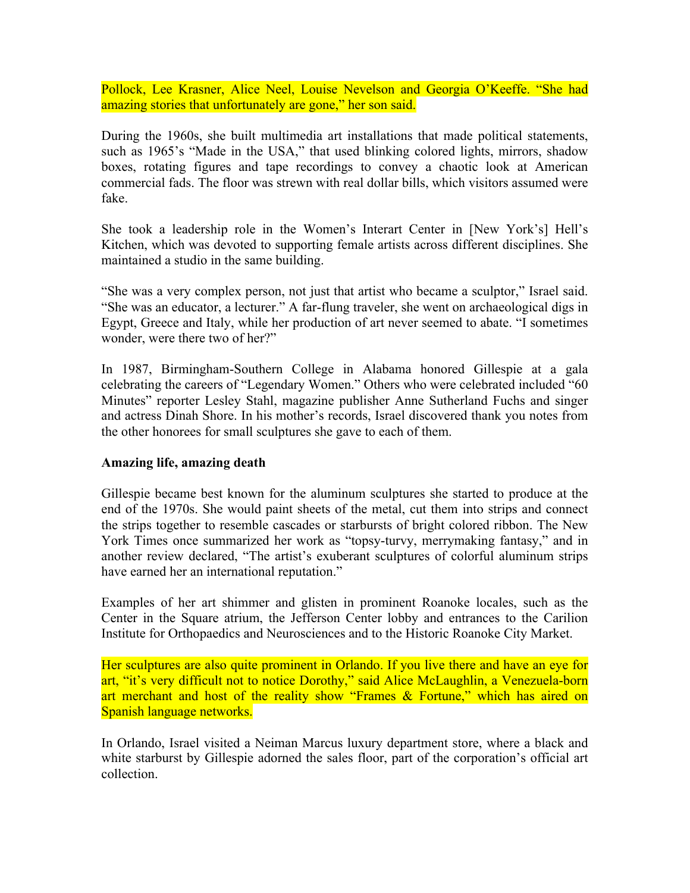Pollock, Lee Krasner, Alice Neel, Louise Nevelson and Georgia O'Keeffe. "She had amazing stories that unfortunately are gone," her son said.

During the 1960s, she built multimedia art installations that made political statements, such as 1965's "Made in the USA," that used blinking colored lights, mirrors, shadow boxes, rotating figures and tape recordings to convey a chaotic look at American commercial fads. The floor was strewn with real dollar bills, which visitors assumed were fake.

She took a leadership role in the Women's Interart Center in [New York's] Hell's Kitchen, which was devoted to supporting female artists across different disciplines. She maintained a studio in the same building.

"She was a very complex person, not just that artist who became a sculptor," Israel said. "She was an educator, a lecturer." A far-flung traveler, she went on archaeological digs in Egypt, Greece and Italy, while her production of art never seemed to abate. "I sometimes wonder, were there two of her?"

In 1987, Birmingham-Southern College in Alabama honored Gillespie at a gala celebrating the careers of "Legendary Women." Others who were celebrated included "60 Minutes" reporter Lesley Stahl, magazine publisher Anne Sutherland Fuchs and singer and actress Dinah Shore. In his mother's records, Israel discovered thank you notes from the other honorees for small sculptures she gave to each of them.

## **Amazing life, amazing death**

Gillespie became best known for the aluminum sculptures she started to produce at the end of the 1970s. She would paint sheets of the metal, cut them into strips and connect the strips together to resemble cascades or starbursts of bright colored ribbon. The New York Times once summarized her work as "topsy-turvy, merrymaking fantasy," and in another review declared, "The artist's exuberant sculptures of colorful aluminum strips have earned her an international reputation."

Examples of her art shimmer and glisten in prominent Roanoke locales, such as the Center in the Square atrium, the Jefferson Center lobby and entrances to the Carilion Institute for Orthopaedics and Neurosciences and to the Historic Roanoke City Market.

Her sculptures are also quite prominent in Orlando. If you live there and have an eye for art, "it's very difficult not to notice Dorothy," said Alice McLaughlin, a Venezuela-born art merchant and host of the reality show "Frames & Fortune," which has aired on Spanish language networks.

In Orlando, Israel visited a Neiman Marcus luxury department store, where a black and white starburst by Gillespie adorned the sales floor, part of the corporation's official art collection.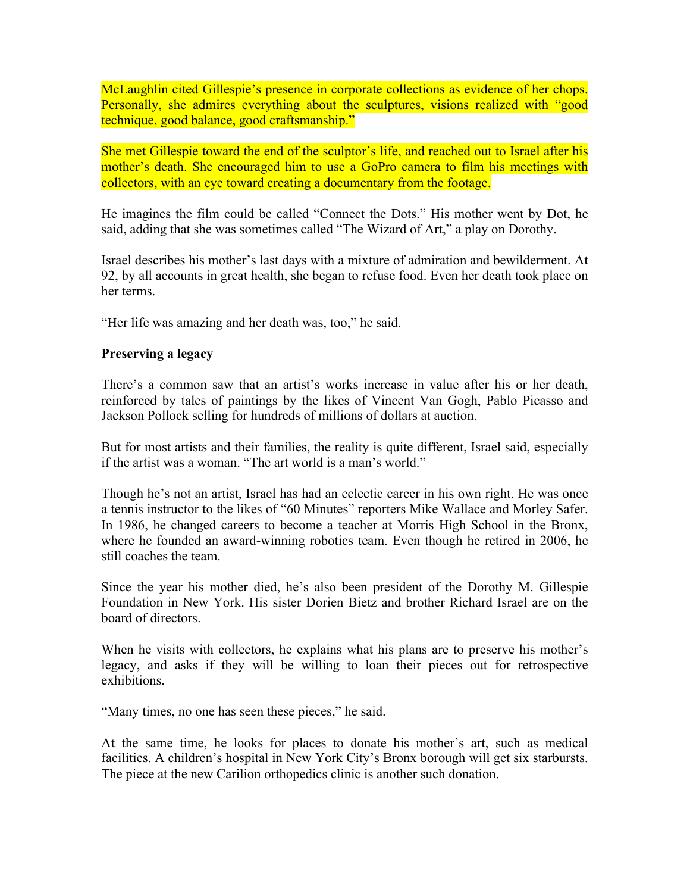McLaughlin cited Gillespie's presence in corporate collections as evidence of her chops. Personally, she admires everything about the sculptures, visions realized with "good technique, good balance, good craftsmanship."

She met Gillespie toward the end of the sculptor's life, and reached out to Israel after his mother's death. She encouraged him to use a GoPro camera to film his meetings with collectors, with an eye toward creating a documentary from the footage.

He imagines the film could be called "Connect the Dots." His mother went by Dot, he said, adding that she was sometimes called "The Wizard of Art," a play on Dorothy.

Israel describes his mother's last days with a mixture of admiration and bewilderment. At 92, by all accounts in great health, she began to refuse food. Even her death took place on her terms.

"Her life was amazing and her death was, too," he said.

## **Preserving a legacy**

There's a common saw that an artist's works increase in value after his or her death, reinforced by tales of paintings by the likes of Vincent Van Gogh, Pablo Picasso and Jackson Pollock selling for hundreds of millions of dollars at auction.

But for most artists and their families, the reality is quite different, Israel said, especially if the artist was a woman. "The art world is a man's world."

Though he's not an artist, Israel has had an eclectic career in his own right. He was once a tennis instructor to the likes of "60 Minutes" reporters Mike Wallace and Morley Safer. In 1986, he changed careers to become a teacher at Morris High School in the Bronx, where he founded an award-winning robotics team. Even though he retired in 2006, he still coaches the team.

Since the year his mother died, he's also been president of the Dorothy M. Gillespie Foundation in New York. His sister Dorien Bietz and brother Richard Israel are on the board of directors.

When he visits with collectors, he explains what his plans are to preserve his mother's legacy, and asks if they will be willing to loan their pieces out for retrospective exhibitions.

"Many times, no one has seen these pieces," he said.

At the same time, he looks for places to donate his mother's art, such as medical facilities. A children's hospital in New York City's Bronx borough will get six starbursts. The piece at the new Carilion orthopedics clinic is another such donation.